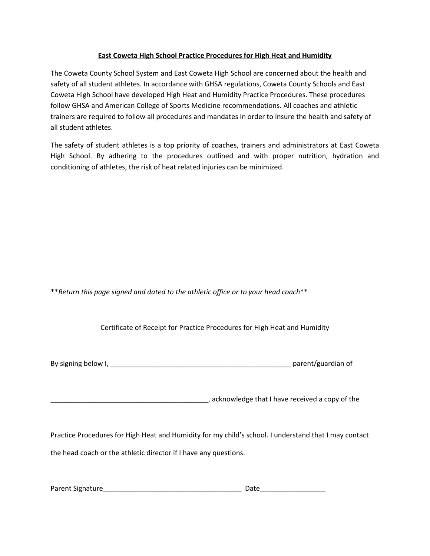# East Coweta High School Practice Procedures for High Heat and Humidity

The Coweta County School System and East Coweta High School are concerned about the health and safety of all student athletes. In accordance with GHSA regulations, Coweta County Schools and East Coweta High School have developed High Heat and Humidity Practice Procedures. These procedures follow GHSA and American College of Sports Medicine recommendations. All coaches and athletic trainers are required to follow all procedures and mandates in order to insure the health and safety of all student athletes.

The safety of student athletes is a top priority of coaches, trainers and administrators at East Coweta High School. By adhering to the procedures outlined and with proper nutrition, hydration and conditioning of athletes, the risk of heat related injuries can be minimized.

\*\*Return this page signed and dated to the athletic office or to your head coach\*\*

Certificate of Receipt for Practice Procedures for High Heat and Humidity

| By signing below I, | parent/guardian of |
|---------------------|--------------------|
|---------------------|--------------------|

\_\_\_\_\_\_\_\_\_\_\_\_\_\_\_\_\_\_\_\_\_\_\_\_\_\_\_\_\_\_\_\_\_\_\_\_\_\_\_\_\_, acknowledge that I have received a copy of the

Practice Procedures for High Heat and Humidity for my child's school. I understand that I may contact the head coach or the athletic director if I have any questions.

| Parent Signature | )ate |
|------------------|------|
|------------------|------|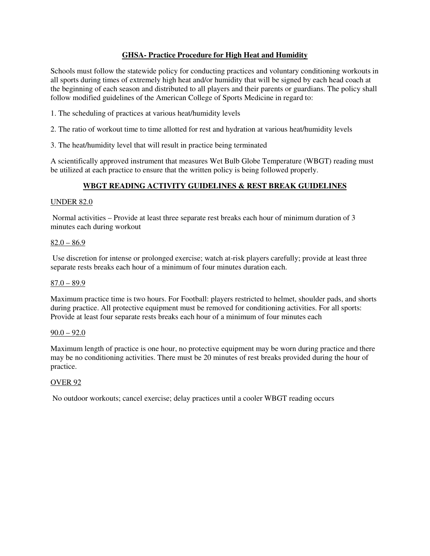# **GHSA- Practice Procedure for High Heat and Humidity**

Schools must follow the statewide policy for conducting practices and voluntary conditioning workouts in all sports during times of extremely high heat and/or humidity that will be signed by each head coach at the beginning of each season and distributed to all players and their parents or guardians. The policy shall follow modified guidelines of the American College of Sports Medicine in regard to:

- 1. The scheduling of practices at various heat/humidity levels
- 2. The ratio of workout time to time allotted for rest and hydration at various heat/humidity levels
- 3. The heat/humidity level that will result in practice being terminated

A scientifically approved instrument that measures Wet Bulb Globe Temperature (WBGT) reading must be utilized at each practice to ensure that the written policy is being followed properly.

# **WBGT READING ACTIVITY GUIDELINES & REST BREAK GUIDELINES**

### UNDER 82.0

 Normal activities – Provide at least three separate rest breaks each hour of minimum duration of 3 minutes each during workout

### $82.0 - 86.9$

 Use discretion for intense or prolonged exercise; watch at-risk players carefully; provide at least three separate rests breaks each hour of a minimum of four minutes duration each.

### $87.0 - 89.9$

Maximum practice time is two hours. For Football: players restricted to helmet, shoulder pads, and shorts during practice. All protective equipment must be removed for conditioning activities. For all sports: Provide at least four separate rests breaks each hour of a minimum of four minutes each

### $90.0 - 92.0$

Maximum length of practice is one hour, no protective equipment may be worn during practice and there may be no conditioning activities. There must be 20 minutes of rest breaks provided during the hour of practice.

# OVER 92

No outdoor workouts; cancel exercise; delay practices until a cooler WBGT reading occurs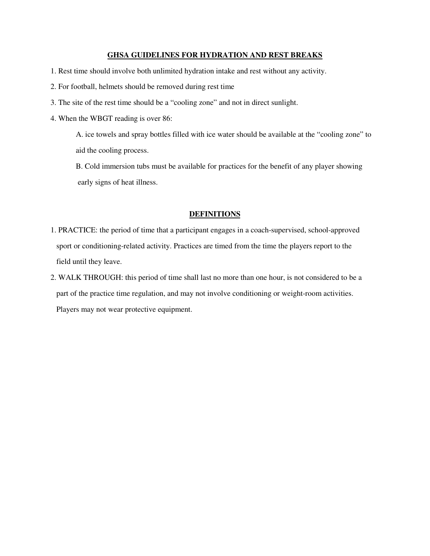#### **GHSA GUIDELINES FOR HYDRATION AND REST BREAKS**

- 1. Rest time should involve both unlimited hydration intake and rest without any activity.
- 2. For football, helmets should be removed during rest time
- 3. The site of the rest time should be a "cooling zone" and not in direct sunlight.
- 4. When the WBGT reading is over 86:

A. ice towels and spray bottles filled with ice water should be available at the "cooling zone" to aid the cooling process.

B. Cold immersion tubs must be available for practices for the benefit of any player showing early signs of heat illness.

### **DEFINITIONS**

- 1. PRACTICE: the period of time that a participant engages in a coach-supervised, school-approved sport or conditioning-related activity. Practices are timed from the time the players report to the field until they leave.
- 2. WALK THROUGH: this period of time shall last no more than one hour, is not considered to be a part of the practice time regulation, and may not involve conditioning or weight-room activities. Players may not wear protective equipment.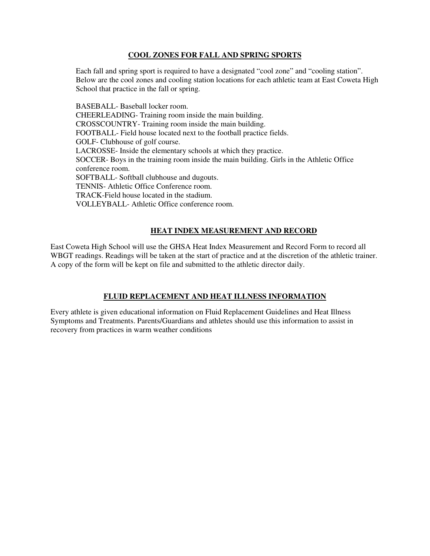# **COOL ZONES FOR FALL AND SPRING SPORTS**

Each fall and spring sport is required to have a designated "cool zone" and "cooling station". Below are the cool zones and cooling station locations for each athletic team at East Coweta High School that practice in the fall or spring.

BASEBALL- Baseball locker room. CHEERLEADING- Training room inside the main building. CROSSCOUNTRY- Training room inside the main building. FOOTBALL- Field house located next to the football practice fields. GOLF- Clubhouse of golf course. LACROSSE- Inside the elementary schools at which they practice. SOCCER- Boys in the training room inside the main building. Girls in the Athletic Office conference room. SOFTBALL- Softball clubhouse and dugouts. TENNIS- Athletic Office Conference room. TRACK-Field house located in the stadium. VOLLEYBALL- Athletic Office conference room.

# **HEAT INDEX MEASUREMENT AND RECORD**

East Coweta High School will use the GHSA Heat Index Measurement and Record Form to record all WBGT readings. Readings will be taken at the start of practice and at the discretion of the athletic trainer. A copy of the form will be kept on file and submitted to the athletic director daily.

# **FLUID REPLACEMENT AND HEAT ILLNESS INFORMATION**

Every athlete is given educational information on Fluid Replacement Guidelines and Heat Illness Symptoms and Treatments. Parents/Guardians and athletes should use this information to assist in recovery from practices in warm weather conditions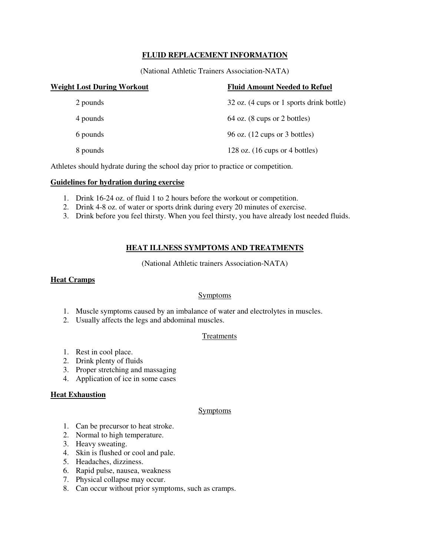# **FLUID REPLACEMENT INFORMATION**

(National Athletic Trainers Association-NATA)

| <b>Weight Lost During Workout</b> | <b>Fluid Amount Needed to Refuel</b>              |
|-----------------------------------|---------------------------------------------------|
| 2 pounds                          | 32 oz. (4 cups or 1 sports drink bottle)          |
| 4 pounds                          | $64$ oz. $(8 \text{ cups or } 2 \text{ bottles})$ |
| 6 pounds                          | 96 oz. $(12 \text{ cups or } 3 \text{ bottles})$  |
| 8 pounds                          | 128 oz. $(16 \text{ cups or } 4 \text{ bottles})$ |

Athletes should hydrate during the school day prior to practice or competition.

# **Guidelines for hydration during exercise**

- 1. Drink 16-24 oz. of fluid 1 to 2 hours before the workout or competition.
- 2. Drink 4-8 oz. of water or sports drink during every 20 minutes of exercise.
- 3. Drink before you feel thirsty. When you feel thirsty, you have already lost needed fluids.

# **HEAT ILLNESS SYMPTOMS AND TREATMENTS**

(National Athletic trainers Association-NATA)

## **Heat Cramps**

# **Symptoms**

- 1. Muscle symptoms caused by an imbalance of water and electrolytes in muscles.
- 2. Usually affects the legs and abdominal muscles.

# **Treatments**

- 1. Rest in cool place.
- 2. Drink plenty of fluids
- 3. Proper stretching and massaging
- 4. Application of ice in some cases

### **Heat Exhaustion**

### **Symptoms**

- 1. Can be precursor to heat stroke.
- 2. Normal to high temperature.
- 3. Heavy sweating.
- 4. Skin is flushed or cool and pale.
- 5. Headaches, dizziness.
- 6. Rapid pulse, nausea, weakness
- 7. Physical collapse may occur.
- 8. Can occur without prior symptoms, such as cramps.